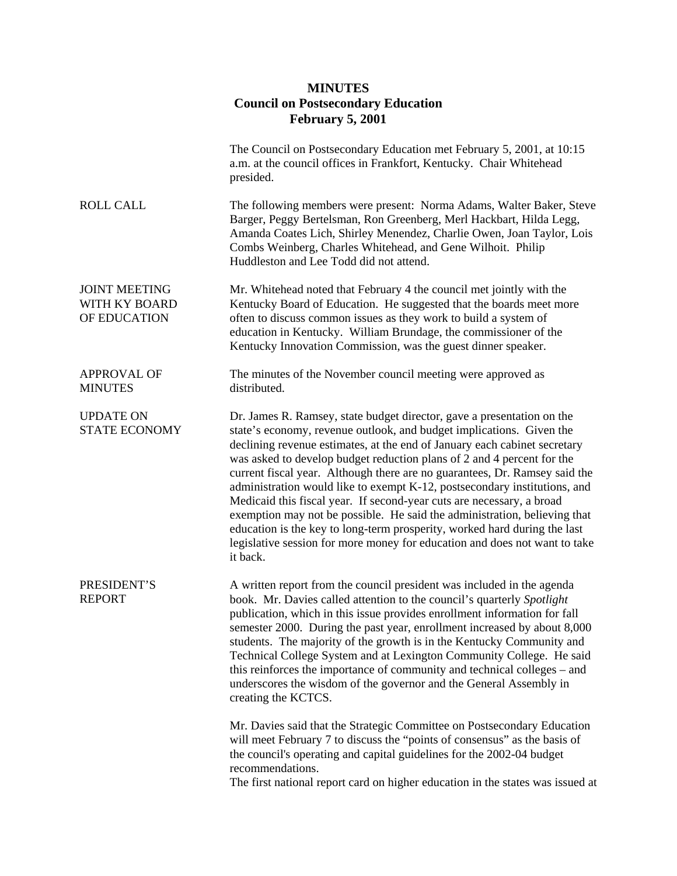## **MINUTES Council on Postsecondary Education February 5, 2001**

|                                                       | The Council on Postsecondary Education met February 5, 2001, at 10:15<br>a.m. at the council offices in Frankfort, Kentucky. Chair Whitehead<br>presided.                                                                                                                                                                                                                                                                                                                                                                                                                                                                                                                                                                                                                                     |
|-------------------------------------------------------|-----------------------------------------------------------------------------------------------------------------------------------------------------------------------------------------------------------------------------------------------------------------------------------------------------------------------------------------------------------------------------------------------------------------------------------------------------------------------------------------------------------------------------------------------------------------------------------------------------------------------------------------------------------------------------------------------------------------------------------------------------------------------------------------------|
| <b>ROLL CALL</b>                                      | The following members were present: Norma Adams, Walter Baker, Steve<br>Barger, Peggy Bertelsman, Ron Greenberg, Merl Hackbart, Hilda Legg,<br>Amanda Coates Lich, Shirley Menendez, Charlie Owen, Joan Taylor, Lois<br>Combs Weinberg, Charles Whitehead, and Gene Wilhoit. Philip<br>Huddleston and Lee Todd did not attend.                                                                                                                                                                                                                                                                                                                                                                                                                                                                |
| <b>JOINT MEETING</b><br>WITH KY BOARD<br>OF EDUCATION | Mr. Whitehead noted that February 4 the council met jointly with the<br>Kentucky Board of Education. He suggested that the boards meet more<br>often to discuss common issues as they work to build a system of<br>education in Kentucky. William Brundage, the commissioner of the<br>Kentucky Innovation Commission, was the guest dinner speaker.                                                                                                                                                                                                                                                                                                                                                                                                                                          |
| <b>APPROVAL OF</b><br><b>MINUTES</b>                  | The minutes of the November council meeting were approved as<br>distributed.                                                                                                                                                                                                                                                                                                                                                                                                                                                                                                                                                                                                                                                                                                                  |
| <b>UPDATE ON</b><br><b>STATE ECONOMY</b>              | Dr. James R. Ramsey, state budget director, gave a presentation on the<br>state's economy, revenue outlook, and budget implications. Given the<br>declining revenue estimates, at the end of January each cabinet secretary<br>was asked to develop budget reduction plans of 2 and 4 percent for the<br>current fiscal year. Although there are no guarantees, Dr. Ramsey said the<br>administration would like to exempt K-12, postsecondary institutions, and<br>Medicaid this fiscal year. If second-year cuts are necessary, a broad<br>exemption may not be possible. He said the administration, believing that<br>education is the key to long-term prosperity, worked hard during the last<br>legislative session for more money for education and does not want to take<br>it back. |
| PRESIDENT'S<br><b>REPORT</b>                          | A written report from the council president was included in the agenda<br>book. Mr. Davies called attention to the council's quarterly Spotlight<br>publication, which in this issue provides enrollment information for fall<br>semester 2000. During the past year, enrollment increased by about 8,000<br>students. The majority of the growth is in the Kentucky Community and<br>Technical College System and at Lexington Community College. He said<br>this reinforces the importance of community and technical colleges – and<br>underscores the wisdom of the governor and the General Assembly in<br>creating the KCTCS.                                                                                                                                                           |
|                                                       | Mr. Davies said that the Strategic Committee on Postsecondary Education<br>will meet February 7 to discuss the "points of consensus" as the basis of<br>the council's operating and capital guidelines for the 2002-04 budget<br>recommendations.<br>The first national report card on higher education in the states was issued at                                                                                                                                                                                                                                                                                                                                                                                                                                                           |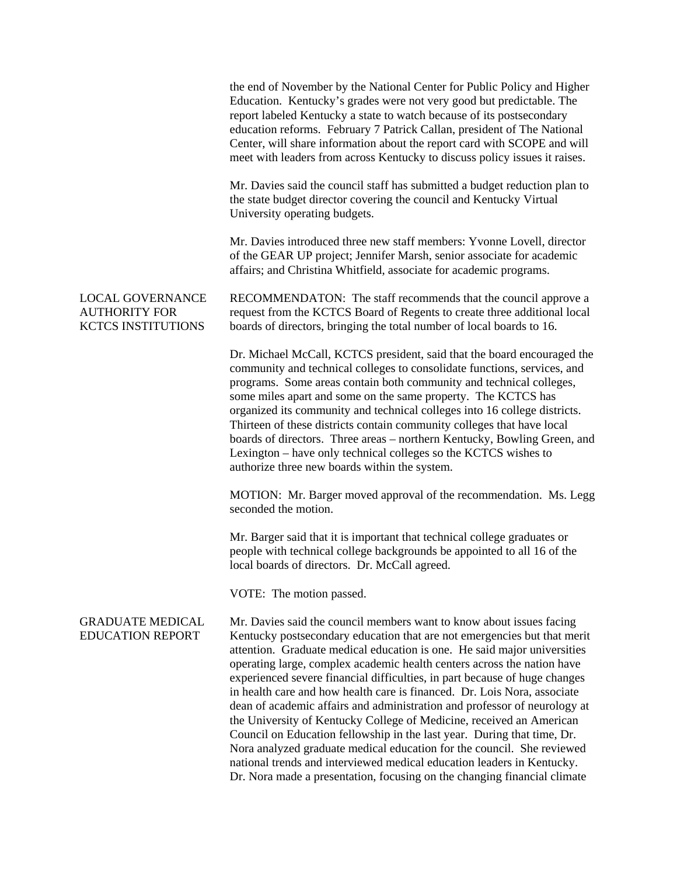|                                                                              | the end of November by the National Center for Public Policy and Higher<br>Education. Kentucky's grades were not very good but predictable. The<br>report labeled Kentucky a state to watch because of its postsecondary<br>education reforms. February 7 Patrick Callan, president of The National<br>Center, will share information about the report card with SCOPE and will<br>meet with leaders from across Kentucky to discuss policy issues it raises.                                                                                                                                                                                                                                                                                                                                                                                                                                                                     |
|------------------------------------------------------------------------------|-----------------------------------------------------------------------------------------------------------------------------------------------------------------------------------------------------------------------------------------------------------------------------------------------------------------------------------------------------------------------------------------------------------------------------------------------------------------------------------------------------------------------------------------------------------------------------------------------------------------------------------------------------------------------------------------------------------------------------------------------------------------------------------------------------------------------------------------------------------------------------------------------------------------------------------|
|                                                                              | Mr. Davies said the council staff has submitted a budget reduction plan to<br>the state budget director covering the council and Kentucky Virtual<br>University operating budgets.                                                                                                                                                                                                                                                                                                                                                                                                                                                                                                                                                                                                                                                                                                                                                |
|                                                                              | Mr. Davies introduced three new staff members: Yvonne Lovell, director<br>of the GEAR UP project; Jennifer Marsh, senior associate for academic<br>affairs; and Christina Whitfield, associate for academic programs.                                                                                                                                                                                                                                                                                                                                                                                                                                                                                                                                                                                                                                                                                                             |
| <b>LOCAL GOVERNANCE</b><br><b>AUTHORITY FOR</b><br><b>KCTCS INSTITUTIONS</b> | RECOMMENDATON: The staff recommends that the council approve a<br>request from the KCTCS Board of Regents to create three additional local<br>boards of directors, bringing the total number of local boards to 16.                                                                                                                                                                                                                                                                                                                                                                                                                                                                                                                                                                                                                                                                                                               |
|                                                                              | Dr. Michael McCall, KCTCS president, said that the board encouraged the<br>community and technical colleges to consolidate functions, services, and<br>programs. Some areas contain both community and technical colleges,<br>some miles apart and some on the same property. The KCTCS has<br>organized its community and technical colleges into 16 college districts.<br>Thirteen of these districts contain community colleges that have local<br>boards of directors. Three areas – northern Kentucky, Bowling Green, and<br>Lexington – have only technical colleges so the KCTCS wishes to<br>authorize three new boards within the system.                                                                                                                                                                                                                                                                                |
|                                                                              | MOTION: Mr. Barger moved approval of the recommendation. Ms. Legg<br>seconded the motion.                                                                                                                                                                                                                                                                                                                                                                                                                                                                                                                                                                                                                                                                                                                                                                                                                                         |
|                                                                              | Mr. Barger said that it is important that technical college graduates or<br>people with technical college backgrounds be appointed to all 16 of the<br>local boards of directors. Dr. McCall agreed.                                                                                                                                                                                                                                                                                                                                                                                                                                                                                                                                                                                                                                                                                                                              |
|                                                                              | VOTE: The motion passed.                                                                                                                                                                                                                                                                                                                                                                                                                                                                                                                                                                                                                                                                                                                                                                                                                                                                                                          |
| <b>GRADUATE MEDICAL</b><br><b>EDUCATION REPORT</b>                           | Mr. Davies said the council members want to know about issues facing<br>Kentucky postsecondary education that are not emergencies but that merit<br>attention. Graduate medical education is one. He said major universities<br>operating large, complex academic health centers across the nation have<br>experienced severe financial difficulties, in part because of huge changes<br>in health care and how health care is financed. Dr. Lois Nora, associate<br>dean of academic affairs and administration and professor of neurology at<br>the University of Kentucky College of Medicine, received an American<br>Council on Education fellowship in the last year. During that time, Dr.<br>Nora analyzed graduate medical education for the council. She reviewed<br>national trends and interviewed medical education leaders in Kentucky.<br>Dr. Nora made a presentation, focusing on the changing financial climate |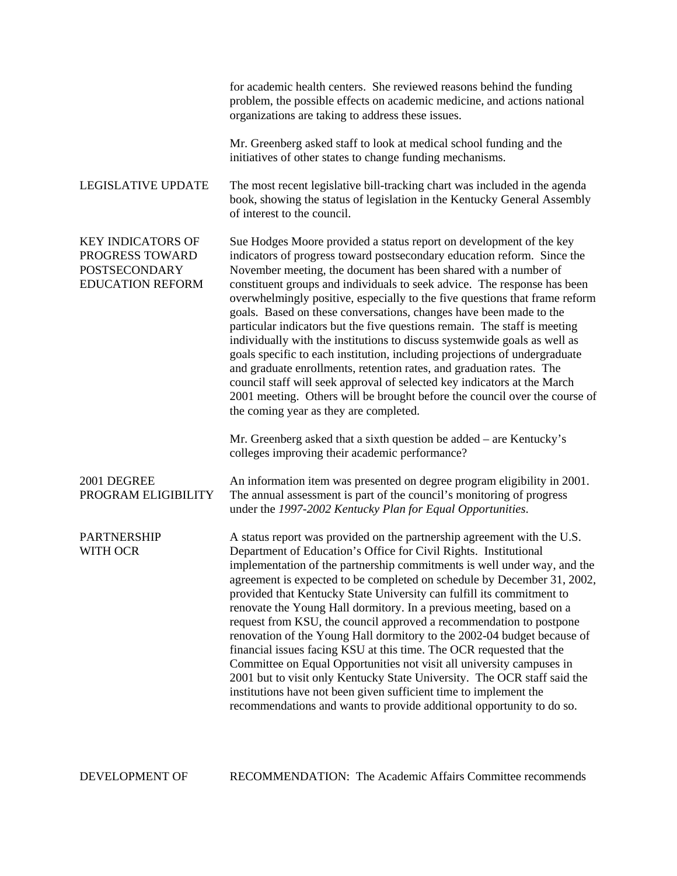|                                                                                                | for academic health centers. She reviewed reasons behind the funding<br>problem, the possible effects on academic medicine, and actions national<br>organizations are taking to address these issues.                                                                                                                                                                                                                                                                                                                                                                                                                                                                                                                                                                                                                                                                                                                                                                            |
|------------------------------------------------------------------------------------------------|----------------------------------------------------------------------------------------------------------------------------------------------------------------------------------------------------------------------------------------------------------------------------------------------------------------------------------------------------------------------------------------------------------------------------------------------------------------------------------------------------------------------------------------------------------------------------------------------------------------------------------------------------------------------------------------------------------------------------------------------------------------------------------------------------------------------------------------------------------------------------------------------------------------------------------------------------------------------------------|
|                                                                                                | Mr. Greenberg asked staff to look at medical school funding and the<br>initiatives of other states to change funding mechanisms.                                                                                                                                                                                                                                                                                                                                                                                                                                                                                                                                                                                                                                                                                                                                                                                                                                                 |
| <b>LEGISLATIVE UPDATE</b>                                                                      | The most recent legislative bill-tracking chart was included in the agenda<br>book, showing the status of legislation in the Kentucky General Assembly<br>of interest to the council.                                                                                                                                                                                                                                                                                                                                                                                                                                                                                                                                                                                                                                                                                                                                                                                            |
| <b>KEY INDICATORS OF</b><br>PROGRESS TOWARD<br><b>POSTSECONDARY</b><br><b>EDUCATION REFORM</b> | Sue Hodges Moore provided a status report on development of the key<br>indicators of progress toward postsecondary education reform. Since the<br>November meeting, the document has been shared with a number of<br>constituent groups and individuals to seek advice. The response has been<br>overwhelmingly positive, especially to the five questions that frame reform<br>goals. Based on these conversations, changes have been made to the<br>particular indicators but the five questions remain. The staff is meeting<br>individually with the institutions to discuss systemwide goals as well as<br>goals specific to each institution, including projections of undergraduate<br>and graduate enrollments, retention rates, and graduation rates. The<br>council staff will seek approval of selected key indicators at the March<br>2001 meeting. Others will be brought before the council over the course of<br>the coming year as they are completed.           |
|                                                                                                | Mr. Greenberg asked that a sixth question be added – are Kentucky's<br>colleges improving their academic performance?                                                                                                                                                                                                                                                                                                                                                                                                                                                                                                                                                                                                                                                                                                                                                                                                                                                            |
| 2001 DEGREE<br>PROGRAM ELIGIBILITY                                                             | An information item was presented on degree program eligibility in 2001.<br>The annual assessment is part of the council's monitoring of progress<br>under the 1997-2002 Kentucky Plan for Equal Opportunities.                                                                                                                                                                                                                                                                                                                                                                                                                                                                                                                                                                                                                                                                                                                                                                  |
| <b>PARTNERSHIP</b><br><b>WITH OCR</b>                                                          | A status report was provided on the partnership agreement with the U.S.<br>Department of Education's Office for Civil Rights. Institutional<br>implementation of the partnership commitments is well under way, and the<br>agreement is expected to be completed on schedule by December 31, 2002,<br>provided that Kentucky State University can fulfill its commitment to<br>renovate the Young Hall dormitory. In a previous meeting, based on a<br>request from KSU, the council approved a recommendation to postpone<br>renovation of the Young Hall dormitory to the 2002-04 budget because of<br>financial issues facing KSU at this time. The OCR requested that the<br>Committee on Equal Opportunities not visit all university campuses in<br>2001 but to visit only Kentucky State University. The OCR staff said the<br>institutions have not been given sufficient time to implement the<br>recommendations and wants to provide additional opportunity to do so. |

DEVELOPMENT OF RECOMMENDATION: The Academic Affairs Committee recommends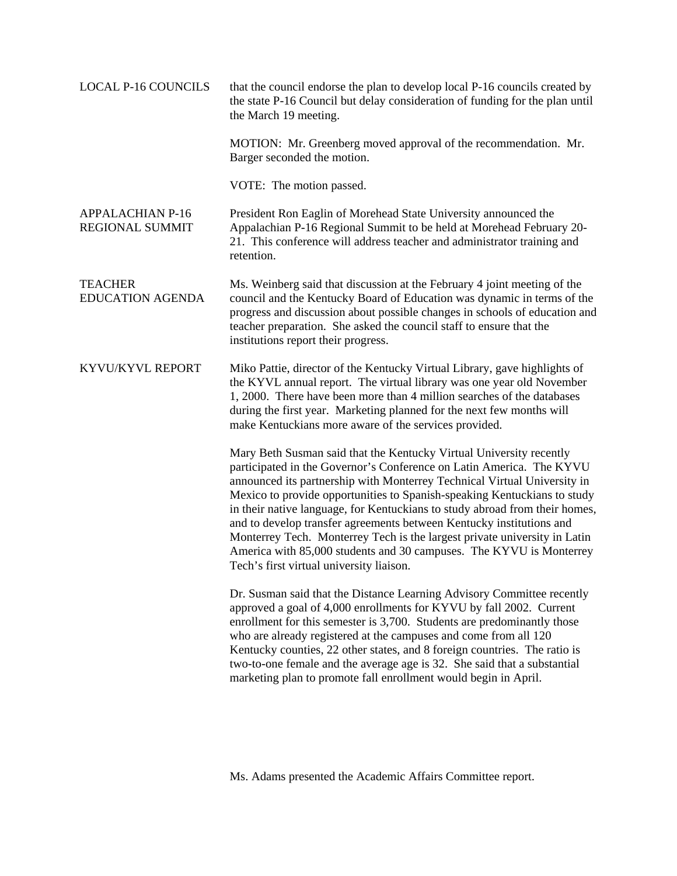| <b>LOCAL P-16 COUNCILS</b>                 | that the council endorse the plan to develop local P-16 councils created by<br>the state P-16 Council but delay consideration of funding for the plan until<br>the March 19 meeting.                                                                                                                                                                                                                                                                                                                                                                                                                                                                       |
|--------------------------------------------|------------------------------------------------------------------------------------------------------------------------------------------------------------------------------------------------------------------------------------------------------------------------------------------------------------------------------------------------------------------------------------------------------------------------------------------------------------------------------------------------------------------------------------------------------------------------------------------------------------------------------------------------------------|
|                                            | MOTION: Mr. Greenberg moved approval of the recommendation. Mr.<br>Barger seconded the motion.                                                                                                                                                                                                                                                                                                                                                                                                                                                                                                                                                             |
|                                            | VOTE: The motion passed.                                                                                                                                                                                                                                                                                                                                                                                                                                                                                                                                                                                                                                   |
| <b>APPALACHIAN P-16</b><br>REGIONAL SUMMIT | President Ron Eaglin of Morehead State University announced the<br>Appalachian P-16 Regional Summit to be held at Morehead February 20-<br>21. This conference will address teacher and administrator training and<br>retention.                                                                                                                                                                                                                                                                                                                                                                                                                           |
| <b>TEACHER</b><br><b>EDUCATION AGENDA</b>  | Ms. Weinberg said that discussion at the February 4 joint meeting of the<br>council and the Kentucky Board of Education was dynamic in terms of the<br>progress and discussion about possible changes in schools of education and<br>teacher preparation. She asked the council staff to ensure that the<br>institutions report their progress.                                                                                                                                                                                                                                                                                                            |
| KYVU/KYVL REPORT                           | Miko Pattie, director of the Kentucky Virtual Library, gave highlights of<br>the KYVL annual report. The virtual library was one year old November<br>1, 2000. There have been more than 4 million searches of the databases<br>during the first year. Marketing planned for the next few months will<br>make Kentuckians more aware of the services provided.                                                                                                                                                                                                                                                                                             |
|                                            | Mary Beth Susman said that the Kentucky Virtual University recently<br>participated in the Governor's Conference on Latin America. The KYVU<br>announced its partnership with Monterrey Technical Virtual University in<br>Mexico to provide opportunities to Spanish-speaking Kentuckians to study<br>in their native language, for Kentuckians to study abroad from their homes,<br>and to develop transfer agreements between Kentucky institutions and<br>Monterrey Tech. Monterrey Tech is the largest private university in Latin<br>America with 85,000 students and 30 campuses. The KYVU is Monterrey<br>Tech's first virtual university liaison. |
|                                            | Dr. Susman said that the Distance Learning Advisory Committee recently<br>approved a goal of 4,000 enrollments for KYVU by fall 2002. Current<br>enrollment for this semester is 3,700. Students are predominantly those<br>who are already registered at the campuses and come from all 120<br>Kentucky counties, 22 other states, and 8 foreign countries. The ratio is<br>two-to-one female and the average age is 32. She said that a substantial<br>marketing plan to promote fall enrollment would begin in April.                                                                                                                                   |

Ms. Adams presented the Academic Affairs Committee report.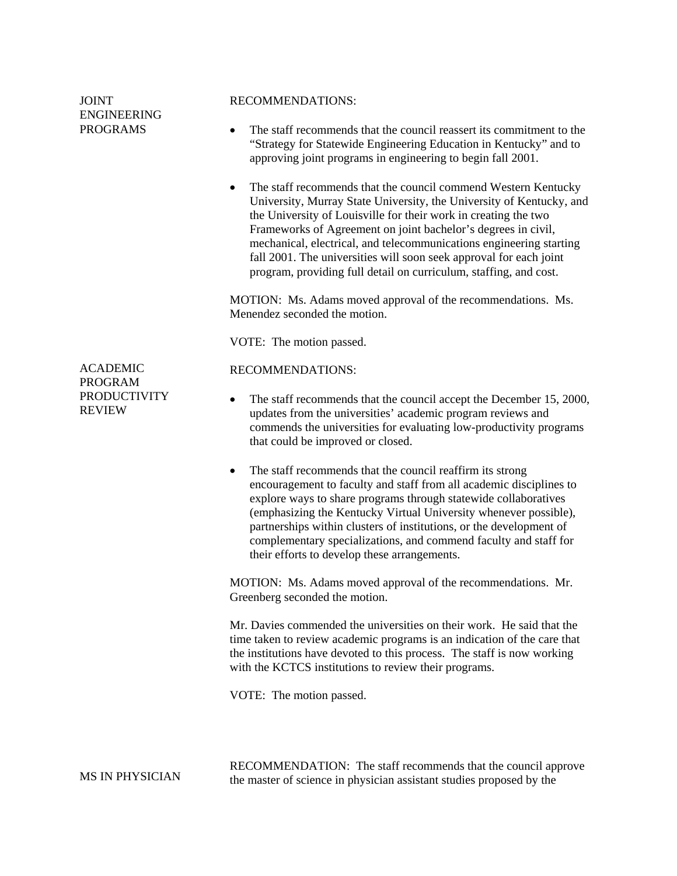| <b>JOINT</b><br><b>ENGINEERING</b><br><b>PROGRAMS</b>  | <b>RECOMMENDATIONS:</b><br>The staff recommends that the council reassert its commitment to the<br>$\bullet$<br>"Strategy for Statewide Engineering Education in Kentucky" and to<br>approving joint programs in engineering to begin fall 2001.<br>The staff recommends that the council commend Western Kentucky<br>$\bullet$<br>University, Murray State University, the University of Kentucky, and<br>the University of Louisville for their work in creating the two<br>Frameworks of Agreement on joint bachelor's degrees in civil,<br>mechanical, electrical, and telecommunications engineering starting<br>fall 2001. The universities will soon seek approval for each joint<br>program, providing full detail on curriculum, staffing, and cost.<br>MOTION: Ms. Adams moved approval of the recommendations. Ms.<br>Menendez seconded the motion. |
|--------------------------------------------------------|----------------------------------------------------------------------------------------------------------------------------------------------------------------------------------------------------------------------------------------------------------------------------------------------------------------------------------------------------------------------------------------------------------------------------------------------------------------------------------------------------------------------------------------------------------------------------------------------------------------------------------------------------------------------------------------------------------------------------------------------------------------------------------------------------------------------------------------------------------------|
|                                                        | VOTE: The motion passed.                                                                                                                                                                                                                                                                                                                                                                                                                                                                                                                                                                                                                                                                                                                                                                                                                                       |
| <b>ACADEMIC</b>                                        | <b>RECOMMENDATIONS:</b>                                                                                                                                                                                                                                                                                                                                                                                                                                                                                                                                                                                                                                                                                                                                                                                                                                        |
| <b>PROGRAM</b><br><b>PRODUCTIVITY</b><br><b>REVIEW</b> | The staff recommends that the council accept the December 15, 2000,<br>٠<br>updates from the universities' academic program reviews and<br>commends the universities for evaluating low-productivity programs<br>that could be improved or closed.                                                                                                                                                                                                                                                                                                                                                                                                                                                                                                                                                                                                             |
|                                                        | The staff recommends that the council reaffirm its strong<br>$\bullet$<br>encouragement to faculty and staff from all academic disciplines to<br>explore ways to share programs through statewide collaboratives<br>(emphasizing the Kentucky Virtual University whenever possible),<br>partnerships within clusters of institutions, or the development of<br>complementary specializations, and commend faculty and staff for<br>their efforts to develop these arrangements.                                                                                                                                                                                                                                                                                                                                                                                |
|                                                        | MOTION: Ms. Adams moved approval of the recommendations. Mr.<br>Greenberg seconded the motion.                                                                                                                                                                                                                                                                                                                                                                                                                                                                                                                                                                                                                                                                                                                                                                 |
|                                                        | Mr. Davies commended the universities on their work. He said that the<br>time taken to review academic programs is an indication of the care that<br>the institutions have devoted to this process. The staff is now working<br>with the KCTCS institutions to review their programs.                                                                                                                                                                                                                                                                                                                                                                                                                                                                                                                                                                          |
|                                                        | VOTE: The motion passed.                                                                                                                                                                                                                                                                                                                                                                                                                                                                                                                                                                                                                                                                                                                                                                                                                                       |
|                                                        |                                                                                                                                                                                                                                                                                                                                                                                                                                                                                                                                                                                                                                                                                                                                                                                                                                                                |
| MS IN PHYSICIAN                                        | RECOMMENDATION: The staff recommends that the council approve<br>the master of science in physician assistant studies proposed by the                                                                                                                                                                                                                                                                                                                                                                                                                                                                                                                                                                                                                                                                                                                          |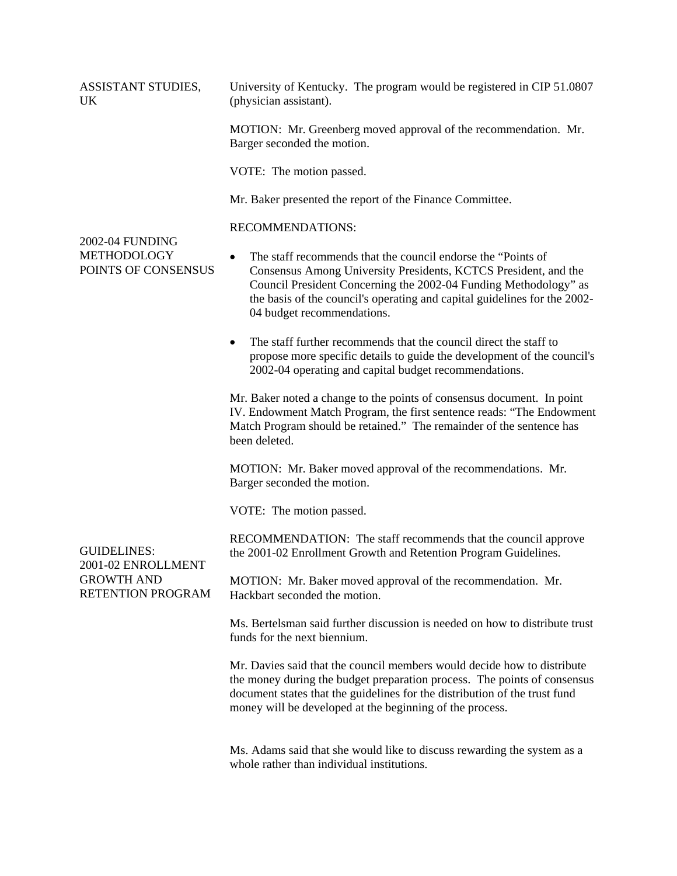ASSISTANT STUDIES, UK University of Kentucky. The program would be registered in CIP 51.0807 (physician assistant).

> MOTION: Mr. Greenberg moved approval of the recommendation. Mr. Barger seconded the motion.

VOTE: The motion passed.

Mr. Baker presented the report of the Finance Committee.

## RECOMMENDATIONS:

## 2002-04 FUNDING METHODOLOGY POINTS OF CONSENSUS

GUIDELINES:

GROWTH AND

2001-02 ENROLLMENT

RETENTION PROGRAM

- The staff recommends that the council endorse the "Points of Consensus Among University Presidents, KCTCS President, and the Council President Concerning the 2002-04 Funding Methodology" as the basis of the council's operating and capital guidelines for the 2002- 04 budget recommendations.
- The staff further recommends that the council direct the staff to propose more specific details to guide the development of the council's 2002-04 operating and capital budget recommendations.

Mr. Baker noted a change to the points of consensus document. In point IV. Endowment Match Program, the first sentence reads: "The Endowment Match Program should be retained." The remainder of the sentence has been deleted.

MOTION: Mr. Baker moved approval of the recommendations. Mr. Barger seconded the motion.

VOTE: The motion passed.

RECOMMENDATION: The staff recommends that the council approve the 2001-02 Enrollment Growth and Retention Program Guidelines.

MOTION: Mr. Baker moved approval of the recommendation. Mr. Hackbart seconded the motion.

Ms. Bertelsman said further discussion is needed on how to distribute trust funds for the next biennium.

Mr. Davies said that the council members would decide how to distribute the money during the budget preparation process. The points of consensus document states that the guidelines for the distribution of the trust fund money will be developed at the beginning of the process.

Ms. Adams said that she would like to discuss rewarding the system as a whole rather than individual institutions.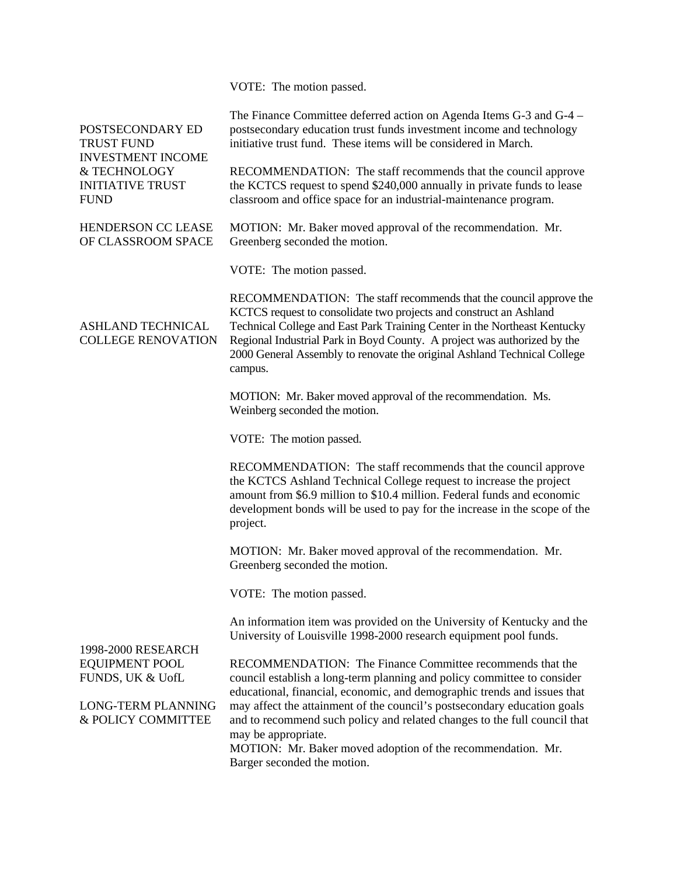VOTE: The motion passed.

| POSTSECONDARY ED<br><b>TRUST FUND</b><br><b>INVESTMENT INCOME</b><br>& TECHNOLOGY<br><b>INITIATIVE TRUST</b><br><b>FUND</b> | The Finance Committee deferred action on Agenda Items G-3 and G-4 –<br>postsecondary education trust funds investment income and technology<br>initiative trust fund. These items will be considered in March.                                                                                                                                                                          |
|-----------------------------------------------------------------------------------------------------------------------------|-----------------------------------------------------------------------------------------------------------------------------------------------------------------------------------------------------------------------------------------------------------------------------------------------------------------------------------------------------------------------------------------|
|                                                                                                                             | RECOMMENDATION: The staff recommends that the council approve<br>the KCTCS request to spend \$240,000 annually in private funds to lease<br>classroom and office space for an industrial-maintenance program.                                                                                                                                                                           |
| HENDERSON CC LEASE<br>OF CLASSROOM SPACE                                                                                    | MOTION: Mr. Baker moved approval of the recommendation. Mr.<br>Greenberg seconded the motion.                                                                                                                                                                                                                                                                                           |
|                                                                                                                             | VOTE: The motion passed.                                                                                                                                                                                                                                                                                                                                                                |
| <b>ASHLAND TECHNICAL</b><br><b>COLLEGE RENOVATION</b>                                                                       | RECOMMENDATION: The staff recommends that the council approve the<br>KCTCS request to consolidate two projects and construct an Ashland<br>Technical College and East Park Training Center in the Northeast Kentucky<br>Regional Industrial Park in Boyd County. A project was authorized by the<br>2000 General Assembly to renovate the original Ashland Technical College<br>campus. |
|                                                                                                                             | MOTION: Mr. Baker moved approval of the recommendation. Ms.<br>Weinberg seconded the motion.                                                                                                                                                                                                                                                                                            |
|                                                                                                                             | VOTE: The motion passed.                                                                                                                                                                                                                                                                                                                                                                |
|                                                                                                                             | RECOMMENDATION: The staff recommends that the council approve<br>the KCTCS Ashland Technical College request to increase the project<br>amount from \$6.9 million to \$10.4 million. Federal funds and economic<br>development bonds will be used to pay for the increase in the scope of the<br>project.                                                                               |
|                                                                                                                             | MOTION: Mr. Baker moved approval of the recommendation. Mr.<br>Greenberg seconded the motion.                                                                                                                                                                                                                                                                                           |
|                                                                                                                             | VOTE: The motion passed.                                                                                                                                                                                                                                                                                                                                                                |
|                                                                                                                             | An information item was provided on the University of Kentucky and the<br>University of Louisville 1998-2000 research equipment pool funds.                                                                                                                                                                                                                                             |
| 1998-2000 RESEARCH<br><b>EQUIPMENT POOL</b><br>FUNDS, UK & UofL                                                             | RECOMMENDATION: The Finance Committee recommends that the<br>council establish a long-term planning and policy committee to consider                                                                                                                                                                                                                                                    |
| <b>LONG-TERM PLANNING</b><br>& POLICY COMMITTEE                                                                             | educational, financial, economic, and demographic trends and issues that<br>may affect the attainment of the council's postsecondary education goals<br>and to recommend such policy and related changes to the full council that<br>may be appropriate.                                                                                                                                |
|                                                                                                                             | MOTION: Mr. Baker moved adoption of the recommendation. Mr.<br>Barger seconded the motion.                                                                                                                                                                                                                                                                                              |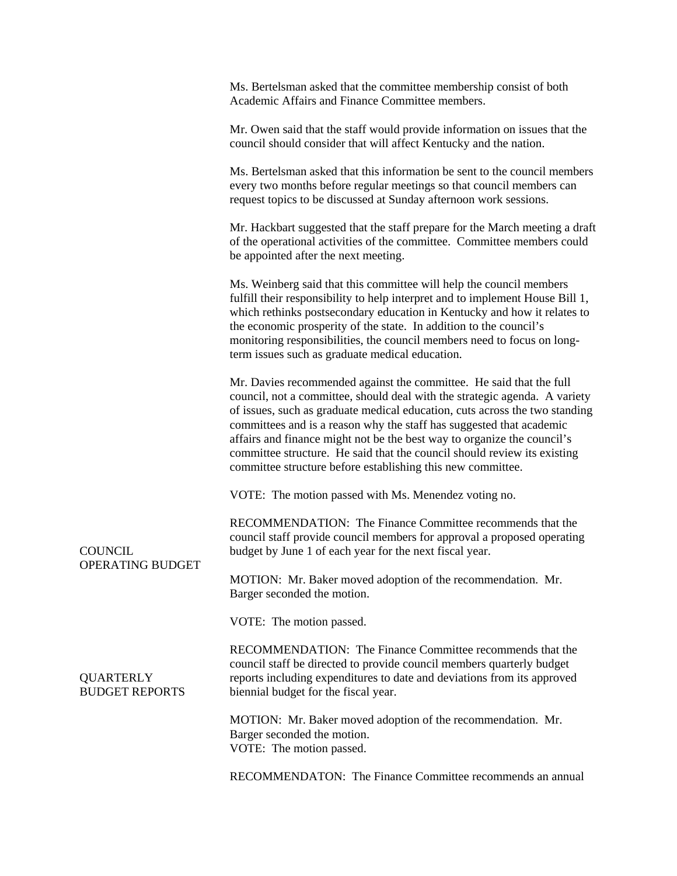|                                           | Ms. Bertelsman asked that the committee membership consist of both<br>Academic Affairs and Finance Committee members.                                                                                                                                                                                                                                                                                                                                                                                                          |
|-------------------------------------------|--------------------------------------------------------------------------------------------------------------------------------------------------------------------------------------------------------------------------------------------------------------------------------------------------------------------------------------------------------------------------------------------------------------------------------------------------------------------------------------------------------------------------------|
|                                           | Mr. Owen said that the staff would provide information on issues that the<br>council should consider that will affect Kentucky and the nation.                                                                                                                                                                                                                                                                                                                                                                                 |
|                                           | Ms. Bertelsman asked that this information be sent to the council members<br>every two months before regular meetings so that council members can<br>request topics to be discussed at Sunday afternoon work sessions.                                                                                                                                                                                                                                                                                                         |
|                                           | Mr. Hackbart suggested that the staff prepare for the March meeting a draft<br>of the operational activities of the committee. Committee members could<br>be appointed after the next meeting.                                                                                                                                                                                                                                                                                                                                 |
|                                           | Ms. Weinberg said that this committee will help the council members<br>fulfill their responsibility to help interpret and to implement House Bill 1,<br>which rethinks postsecondary education in Kentucky and how it relates to<br>the economic prosperity of the state. In addition to the council's<br>monitoring responsibilities, the council members need to focus on long-<br>term issues such as graduate medical education.                                                                                           |
|                                           | Mr. Davies recommended against the committee. He said that the full<br>council, not a committee, should deal with the strategic agenda. A variety<br>of issues, such as graduate medical education, cuts across the two standing<br>committees and is a reason why the staff has suggested that academic<br>affairs and finance might not be the best way to organize the council's<br>committee structure. He said that the council should review its existing<br>committee structure before establishing this new committee. |
|                                           | VOTE: The motion passed with Ms. Menendez voting no.                                                                                                                                                                                                                                                                                                                                                                                                                                                                           |
| <b>COUNCIL</b><br>OPERATING BUDGET        | RECOMMENDATION: The Finance Committee recommends that the<br>council staff provide council members for approval a proposed operating<br>budget by June 1 of each year for the next fiscal year.                                                                                                                                                                                                                                                                                                                                |
|                                           | MOTION: Mr. Baker moved adoption of the recommendation. Mr.<br>Barger seconded the motion.                                                                                                                                                                                                                                                                                                                                                                                                                                     |
|                                           | VOTE: The motion passed.                                                                                                                                                                                                                                                                                                                                                                                                                                                                                                       |
| <b>QUARTERLY</b><br><b>BUDGET REPORTS</b> | RECOMMENDATION: The Finance Committee recommends that the<br>council staff be directed to provide council members quarterly budget<br>reports including expenditures to date and deviations from its approved<br>biennial budget for the fiscal year.                                                                                                                                                                                                                                                                          |
|                                           | MOTION: Mr. Baker moved adoption of the recommendation. Mr.<br>Barger seconded the motion.<br>VOTE: The motion passed.                                                                                                                                                                                                                                                                                                                                                                                                         |
|                                           | RECOMMENDATON: The Finance Committee recommends an annual                                                                                                                                                                                                                                                                                                                                                                                                                                                                      |